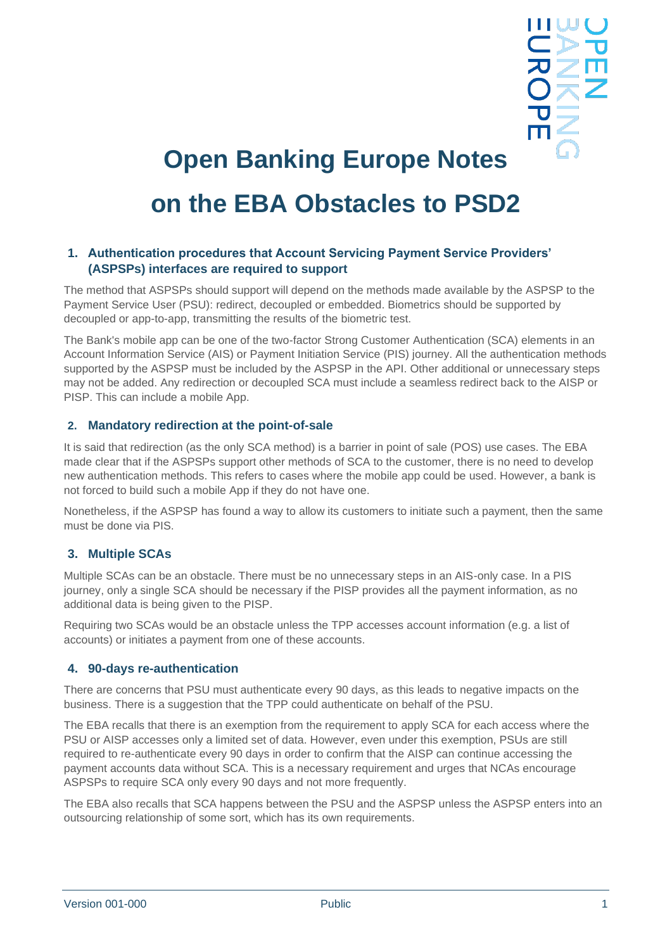| Ш | l, |
|---|----|
|   | J  |
| 7 | Ш  |
|   |    |
| Ū |    |
| Ш |    |
|   |    |

# **Open Banking Europe Notes on the EBA Obstacles to PSD2**

## **1. Authentication procedures that Account Servicing Payment Service Providers' (ASPSPs) interfaces are required to support**

The method that ASPSPs should support will depend on the methods made available by the ASPSP to the Payment Service User (PSU): redirect, decoupled or embedded. Biometrics should be supported by decoupled or app-to-app, transmitting the results of the biometric test.

The Bank's mobile app can be one of the two-factor Strong Customer Authentication (SCA) elements in an Account Information Service (AIS) or Payment Initiation Service (PIS) journey. All the authentication methods supported by the ASPSP must be included by the ASPSP in the API. Other additional or unnecessary steps may not be added. Any redirection or decoupled SCA must include a seamless redirect back to the AISP or PISP. This can include a mobile App.

### **2. Mandatory redirection at the point-of-sale**

It is said that redirection (as the only SCA method) is a barrier in point of sale (POS) use cases. The EBA made clear that if the ASPSPs support other methods of SCA to the customer, there is no need to develop new authentication methods. This refers to cases where the mobile app could be used. However, a bank is not forced to build such a mobile App if they do not have one.

Nonetheless, if the ASPSP has found a way to allow its customers to initiate such a payment, then the same must be done via PIS.

## **3. Multiple SCAs**

Multiple SCAs can be an obstacle. There must be no unnecessary steps in an AIS-only case. In a PIS journey, only a single SCA should be necessary if the PISP provides all the payment information, as no additional data is being given to the PISP.

Requiring two SCAs would be an obstacle unless the TPP accesses account information (e.g. a list of accounts) or initiates a payment from one of these accounts.

### **4. 90-days re-authentication**

There are concerns that PSU must authenticate every 90 days, as this leads to negative impacts on the business. There is a suggestion that the TPP could authenticate on behalf of the PSU.

The EBA recalls that there is an exemption from the requirement to apply SCA for each access where the PSU or AISP accesses only a limited set of data. However, even under this exemption, PSUs are still required to re-authenticate every 90 days in order to confirm that the AISP can continue accessing the payment accounts data without SCA. This is a necessary requirement and urges that NCAs encourage ASPSPs to require SCA only every 90 days and not more frequently.

The EBA also recalls that SCA happens between the PSU and the ASPSP unless the ASPSP enters into an outsourcing relationship of some sort, which has its own requirements.